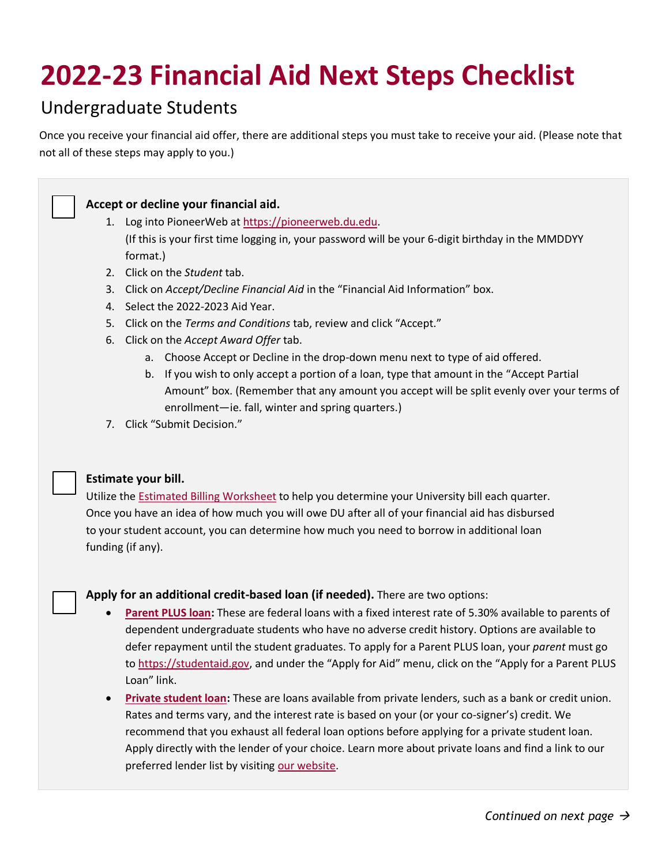# **2022-23 Financial Aid Next Steps Checklist**

# Undergraduate Students

Once you receive your financial aid offer, there are additional steps you must take to receive your aid. (Please note that not all of these steps may apply to you.)



# **Accept or decline your financial aid.**

- 1. Log into PioneerWeb a[t https://pioneerweb.du.edu.](https://pioneerweb.du.edu/) (If this is your first time logging in, your password will be your 6-digit birthday in the MMDDYY format.)
- 2. Click on the *Student* tab.
- 3. Click on *Accept/Decline Financial Aid* in the "Financial Aid Information" box.
- 4. Select the 2022-2023 Aid Year.
- 5. Click on the *Terms and Conditions* tab, review and click "Accept."
- 6. Click on the *Accept Award Offer* tab.
	- a. Choose Accept or Decline in the drop-down menu next to type of aid offered.
	- b. If you wish to only accept a portion of a loan, type that amount in the "Accept Partial Amount" box. (Remember that any amount you accept will be split evenly over your terms of enrollment—ie. fall, winter and spring quarters.)
- 7. Click "Submit Decision."

#### **Estimate your bill.**

Utilize the [Estimated Billing Worksheet](https://www.du.edu/sites/default/files/2022-03/2223_ug_billing_worksheet.xlsx) to help you determine your University bill each quarter. Once you have an idea of how much you will owe DU after all of your financial aid has disbursed to your student account, you can determine how much you need to borrow in additional loan funding (if any).

#### **Apply for an additional credit-based loan (if needed).** There are two options:

- **[Parent PLUS loan:](https://www.du.edu/admission-aid/financial-aid-scholarships/undergraduate-financial-aid/types-aid/loans)** These are federal loans with a fixed interest rate of 5.30% available to parents of dependent undergraduate students who have no adverse credit history. Options are available to defer repayment until the student graduates. To apply for a Parent PLUS loan, your *parent* must go to [https://studentaid.gov](https://studentaid.gov/), and under the "Apply for Aid" menu, click on the "Apply for a Parent PLUS Loan" link.
- **[Private student loan:](https://www.du.edu/admission-aid/financial-aid-scholarships/undergraduate-financial-aid/types-aid/loans#private)** These are loans available from private lenders, such as a bank or credit union. Rates and terms vary, and the interest rate is based on your (or your co-signer's) credit. We recommend that you exhaust all federal loan options before applying for a private student loan. Apply directly with the lender of your choice. Learn more about private loans and find a link to our preferred lender list by visiting [our website.](https://www.du.edu/admission-aid/financial-aid-scholarships/undergraduate-financial-aid/types-aid/loans#private)